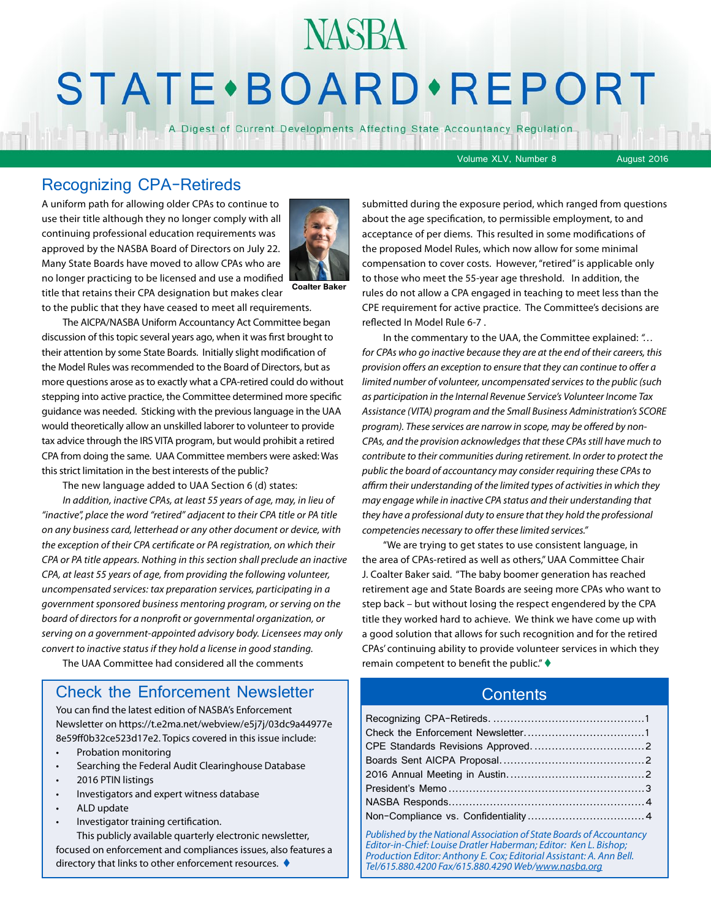## **NASBA STATE** · BOARD · REPORT

A Digest of Current Developments Affecting State Accountancy Regulation

Volume XLV, Number 8 August 2016

#### Recognizing CPA-Retireds

A uniform path for allowing older CPAs to continue to use their title although they no longer comply with all continuing professional education requirements was approved by the NASBA Board of Directors on July 22. Many State Boards have moved to allow CPAs who are no longer practicing to be licensed and use a modified title that retains their CPA designation but makes clear



**Coalter Baker**

to the public that they have ceased to meet all requirements.

The AICPA/NASBA Uniform Accountancy Act Committee began discussion of this topic several years ago, when it was first brought to their attention by some State Boards. Initially slight modification of the Model Rules was recommended to the Board of Directors, but as more questions arose as to exactly what a CPA-retired could do without stepping into active practice, the Committee determined more specific guidance was needed. Sticking with the previous language in the UAA would theoretically allow an unskilled laborer to volunteer to provide tax advice through the IRS VITA program, but would prohibit a retired CPA from doing the same. UAA Committee members were asked: Was this strict limitation in the best interests of the public?

The new language added to UAA Section 6 (d) states:

*In addition, inactive CPAs, at least 55 years of age, may, in lieu of "inactive", place the word "retired" adjacent to their CPA title or PA title on any business card, letterhead or any other document or device, with the exception of their CPA certificate or PA registration, on which their CPA or PA title appears. Nothing in this section shall preclude an inactive CPA, at least 55 years of age, from providing the following volunteer, uncompensated services: tax preparation services, participating in a government sponsored business mentoring program, or serving on the board of directors for a nonprofit or governmental organization, or serving on a government-appointed advisory body. Licensees may only convert to inactive status if they hold a license in good standing.*

The UAA Committee had considered all the comments

#### Check the Enforcement Newsletter

You can find the latest edition of NASBA's Enforcement Newsletter on [https://t.e2ma.net/webview/e5j7j/03dc9a44977e](https://t.e2ma.net/webview/e5j7j/03dc9a44977e8e59ff0b32ce523d17e2) [8e59ff0b32ce523d17e2.](https://t.e2ma.net/webview/e5j7j/03dc9a44977e8e59ff0b32ce523d17e2) Topics covered in this issue include:

- Probation monitoring
- Searching the Federal Audit Clearinghouse Database
- 2016 PTIN listings
- Investigators and expert witness database
- ALD update
- Investigator training certification.

This publicly available quarterly electronic newsletter, focused on enforcement and compliances issues, also features a directory that links to other enforcement resources.  $\blacklozenge$ 

submitted during the exposure period, which ranged from questions about the age specification, to permissible employment, to and acceptance of per diems. This resulted in some modifications of the proposed Model Rules, which now allow for some minimal compensation to cover costs. However, "retired" is applicable only to those who meet the 55-year age threshold. In addition, the rules do not allow a CPA engaged in teaching to meet less than the CPE requirement for active practice. The Committee's decisions are reflected In Model Rule 6-7 .

In the commentary to the UAA, the Committee explained: *"… for CPAs who go inactive because they are at the end of their careers, this provision offers an exception to ensure that they can continue to offer a limited number of volunteer, uncompensated services to the public (such as participation in the Internal Revenue Service's Volunteer Income Tax Assistance (VITA) program and the Small Business Administration's SCORE program). These services are narrow in scope, may be offered by non-CPAs, and the provision acknowledges that these CPAs still have much to contribute to their communities during retirement. In order to protect the public the board of accountancy may consider requiring these CPAs to affirm their understanding of the limited types of activities in which they may engage while in inactive CPA status and their understanding that they have a professional duty to ensure that they hold the professional competencies necessary to offer these limited services."*

"We are trying to get states to use consistent language, in the area of CPAs-retired as well as others," UAA Committee Chair J. Coalter Baker said. "The baby boomer generation has reached retirement age and State Boards are seeing more CPAs who want to step back – but without losing the respect engendered by the CPA title they worked hard to achieve. We think we have come up with a good solution that allows for such recognition and for the retired CPAs' continuing ability to provide volunteer services in which they remain competent to benefit the public."  $\blacklozenge$ 

#### **Contents**

*Published by the National Association of State Boards of Accountancy Editor-in-Chief: Louise Dratler Haberman; Editor: Ken L. Bishop; Production Editor: Anthony E. Cox; Editorial Assistant: A. Ann Bell. Tel/615.880.4200 Fax/615.880.4290 Web/[www.nasba.org](http://www.nasba.org)*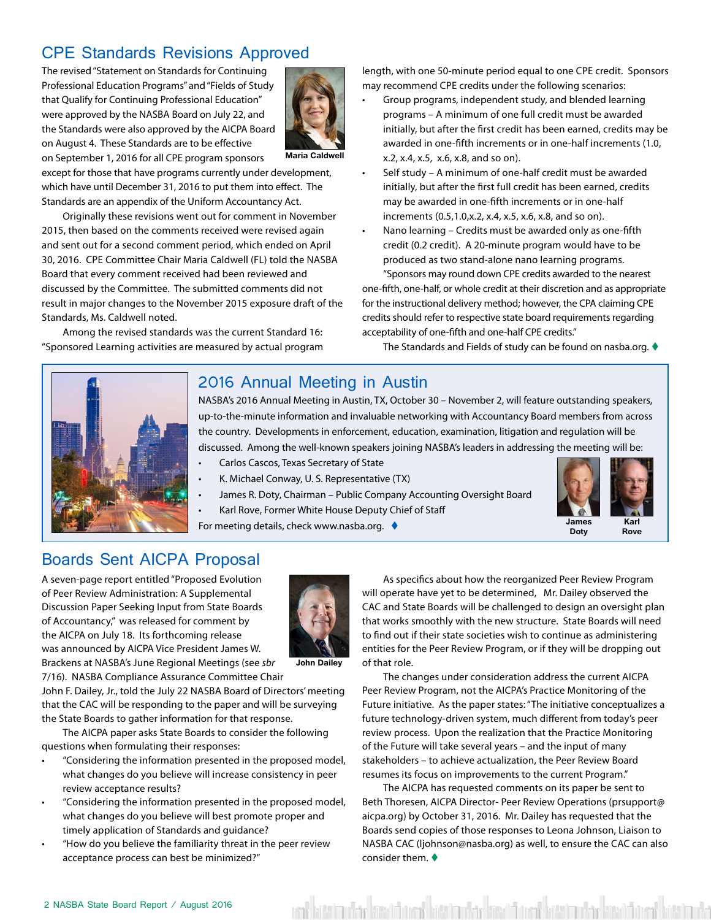#### <span id="page-1-0"></span>CPE Standards Revisions Approved

The revised "Statement on Standards for Continuing Professional Education Programs" and "Fields of Study that Qualify for Continuing Professional Education" were approved by the NASBA Board on July 22, and the Standards were also approved by the AICPA Board on August 4. These Standards are to be effective on September 1, 2016 for all CPE program sponsors



except for those that have programs currently under development, which have until December 31, 2016 to put them into effect. The Standards are an appendix of the Uniform Accountancy Act.

Originally these revisions went out for comment in November 2015, then based on the comments received were revised again and sent out for a second comment period, which ended on April 30, 2016. CPE Committee Chair Maria Caldwell (FL) told the NASBA Board that every comment received had been reviewed and discussed by the Committee. The submitted comments did not result in major changes to the November 2015 exposure draft of the Standards, Ms. Caldwell noted.

Among the revised standards was the current Standard 16: "Sponsored Learning activities are measured by actual program length, with one 50-minute period equal to one CPE credit. Sponsors may recommend CPE credits under the following scenarios:

- Group programs, independent study, and blended learning programs – A minimum of one full credit must be awarded initially, but after the first credit has been earned, credits may be awarded in one-fifth increments or in one-half increments (1.0, x.2, x.4, x.5, x.6, x.8, and so on).
- Self study A minimum of one-half credit must be awarded initially, but after the first full credit has been earned, credits may be awarded in one-fifth increments or in one-half increments (0.5,1.0,x.2, x.4, x.5, x.6, x.8, and so on).
- Nano learning Credits must be awarded only as one-fifth credit (0.2 credit). A 20-minute program would have to be produced as two stand-alone nano learning programs.

"Sponsors may round down CPE credits awarded to the nearest one-fifth, one-half, or whole credit at their discretion and as appropriate for the instructional delivery method; however, the CPA claiming CPE credits should refer to respective state board requirements regarding acceptability of one-fifth and one-half CPE credits."

The Standards and Fields of study can be found on nasba.org.  $\blacklozenge$ 



#### 2016 Annual Meeting in Austin

NASBA's 2016 Annual Meeting in Austin, TX, October 30 – November 2, will feature outstanding speakers, up-to-the-minute information and invaluable networking with Accountancy Board members from across the country. Developments in enforcement, education, examination, litigation and regulation will be discussed. Among the well-known speakers joining NASBA's leaders in addressing the meeting will be:

- Carlos Cascos, Texas Secretary of State
- K. Michael Conway, U. S. Representative (TX)
- James R. Doty, Chairman Public Company Accounting Oversight Board
- Karl Rove, Former White House Deputy Chief of Staff

For meeting details, check www.nasba.org.  $\blacklozenge$ 



#### Boards Sent AICPA Proposal

A seven-page report entitled "Proposed Evolution of Peer Review Administration: A Supplemental Discussion Paper Seeking Input from State Boards of Accountancy," was released for comment by the AICPA on July 18. Its forthcoming release was announced by AICPA Vice President James W. Brackens at NASBA's June Regional Meetings (see *sbr*



**John Dailey**

7/16). NASBA Compliance Assurance Committee Chair John F. Dailey, Jr., told the July 22 NASBA Board of Directors' meeting that the CAC will be responding to the paper and will be surveying the State Boards to gather information for that response.

The AICPA paper asks State Boards to consider the following questions when formulating their responses:

- "Considering the information presented in the proposed model, what changes do you believe will increase consistency in peer review acceptance results?
- "Considering the information presented in the proposed model, what changes do you believe will best promote proper and timely application of Standards and guidance?
	- "How do you believe the familiarity threat in the peer review acceptance process can best be minimized?"

As specifics about how the reorganized Peer Review Program will operate have yet to be determined, Mr. Dailey observed the CAC and State Boards will be challenged to design an oversight plan that works smoothly with the new structure. State Boards will need to find out if their state societies wish to continue as administering entities for the Peer Review Program, or if they will be dropping out of that role.

The changes under consideration address the current AICPA Peer Review Program, not the AICPA's Practice Monitoring of the Future initiative. As the paper states: "The initiative conceptualizes a future technology-driven system, much different from today's peer review process. Upon the realization that the Practice Monitoring of the Future will take several years – and the input of many stakeholders – to achieve actualization, the Peer Review Board resumes its focus on improvements to the current Program."

The AICPA has requested comments on its paper be sent to Beth Thoresen, AICPA Director- Peer Review Operations (prsupport@ aicpa.org) by October 31, 2016. Mr. Dailey has requested that the Boards send copies of those responses to Leona Johnson, Liaison to NASBA CAC (ljohnson@nasba.org) as well, to ensure the CAC can also consider them.  $\blacklozenge$ 

hatti makta kasal daen batti makta kasal daen batti makta kasal daen ba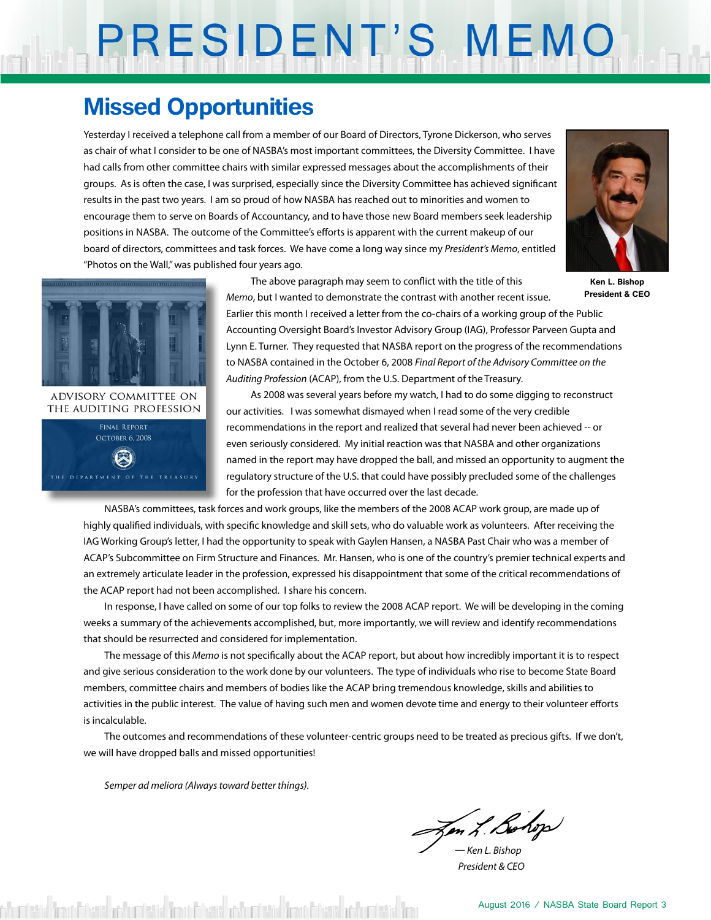# PRESIDENT'S MEMO

### **Missed Opportunities**

Yesterday I received a telephone call from a member of our Board of Directors, Tyrone Dickerson, who serves as chair of what I consider to be one of NASBA's most important committees, the Diversity Committee. I have had calls from other committee chairs with similar expressed messages about the accomplishments of their groups. As is often the case, I was surprised, especially since the Diversity Committee has achieved significant results in the past two years. I am so proud of how NASBA has reached out to minorities and women to encourage them to serve on Boards of Accountancy, and to have those new Board members seek leadership positions in NASBA. The outcome of the Committee's efforts is apparent with the current makeup of our board of directors, committees and task forces. We have come a long way since my *President's Memo*, entitled "Photos on the Wall," was published four years ago.



**Ken L. Bishop President & CEO**



The above paragraph may seem to conflict with the title of this *Memo*, but I wanted to demonstrate the contrast with another recent issue.

Earlier this month I received a letter from the co-chairs of a working group of the Public Accounting Oversight Board's Investor Advisory Group (IAG), Professor Parveen Gupta and Lynn E. Turner. They requested that NASBA report on the progress of the recommendations to NASBA contained in the October 6, 2008 *Final Report of the Advisory Committee on the Auditing Profession* (ACAP), from the U.S. Department of the Treasury.

As 2008 was several years before my watch, I had to do some digging to reconstruct our activities. I was somewhat dismayed when I read some of the very credible recommendations in the report and realized that several had never been achieved -- or even seriously considered. My initial reaction was that NASBA and other organizations named in the report may have dropped the ball, and missed an opportunity to augment the regulatory structure of the U.S. that could have possibly precluded some of the challenges for the profession that have occurred over the last decade.

NASBA's committees, task forces and work groups, like the members of the 2008 ACAP work group, are made up of highly qualified individuals, with specific knowledge and skill sets, who do valuable work as volunteers. After receiving the IAG Working Group's letter, I had the opportunity to speak with Gaylen Hansen, a NASBA Past Chair who was a member of ACAP's Subcommittee on Firm Structure and Finances. Mr. Hansen, who is one of the country's premier technical experts and an extremely articulate leader in the profession, expressed his disappointment that some of the critical recommendations of the ACAP report had not been accomplished. I share his concern.

In response, I have called on some of our top folks to review the 2008 ACAP report. We will be developing in the coming weeks a summary of the achievements accomplished, but, more importantly, we will review and identify recommendations that should be resurrected and considered for implementation.

The message of this *Memo* is not specifically about the ACAP report, but about how incredibly important it is to respect and give serious consideration to the work done by our volunteers. The type of individuals who rise to become State Board members, committee chairs and members of bodies like the ACAP bring tremendous knowledge, skills and abilities to activities in the public interest. The value of having such men and women devote time and energy to their volunteer efforts is incalculable.

The outcomes and recommendations of these volunteer-centric groups need to be treated as precious gifts. If we don't, we will have dropped balls and missed opportunities!

*Semper ad meliora (Always toward better things).*

Jen L. Bohop

*— Ken L. Bishop President & CEO*

churchte Trachtere achurchte Trachtere achurchte Trachtere achurchte Trac

August 2016 / NASBA State Board Report 3